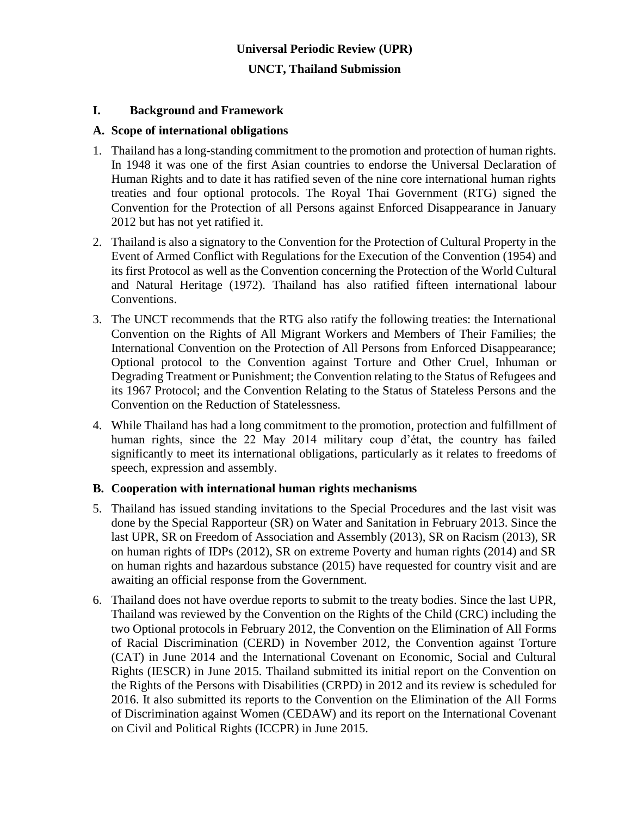# **Universal Periodic Review (UPR) UNCT, Thailand Submission**

#### **I. Background and Framework**

#### **A. Scope of international obligations**

- 1. Thailand has a long-standing commitment to the promotion and protection of human rights. In 1948 it was one of the first Asian countries to endorse the Universal Declaration of Human Rights and to date it has ratified seven of the nine core international human rights treaties and four optional protocols. The Royal Thai Government (RTG) signed the Convention for the Protection of all Persons against Enforced Disappearance in January 2012 but has not yet ratified it.
- 2. Thailand is also a signatory to the Convention for the Protection of Cultural Property in the Event of Armed Conflict with Regulations for the Execution of the Convention (1954) and its first Protocol as well as the Convention concerning the Protection of the World Cultural and Natural Heritage (1972). Thailand has also ratified fifteen international labour Conventions.
- 3. The UNCT recommends that the RTG also ratify the following treaties: the International Convention on the Rights of All Migrant Workers and Members of Their Families; the International Convention on the Protection of All Persons from Enforced Disappearance; Optional protocol to the Convention against Torture and Other Cruel, Inhuman or Degrading Treatment or Punishment; the Convention relating to the Status of Refugees and its 1967 Protocol; and the Convention Relating to the Status of Stateless Persons and the Convention on the Reduction of Statelessness.
- 4. While Thailand has had a long commitment to the promotion, protection and fulfillment of human rights, since the 22 May 2014 military coup d'état, the country has failed significantly to meet its international obligations, particularly as it relates to freedoms of speech, expression and assembly.

#### **B. Cooperation with international human rights mechanisms**

- 5. Thailand has issued standing invitations to the Special Procedures and the last visit was done by the Special Rapporteur (SR) on Water and Sanitation in February 2013. Since the last UPR, SR on Freedom of Association and Assembly (2013), SR on Racism (2013), SR on human rights of IDPs (2012), SR on extreme Poverty and human rights (2014) and SR on human rights and hazardous substance (2015) have requested for country visit and are awaiting an official response from the Government.
- 6. Thailand does not have overdue reports to submit to the treaty bodies. Since the last UPR, Thailand was reviewed by the Convention on the Rights of the Child (CRC) including the two Optional protocols in February 2012, the Convention on the Elimination of All Forms of Racial Discrimination (CERD) in November 2012, the Convention against Torture (CAT) in June 2014 and the International Covenant on Economic, Social and Cultural Rights (IESCR) in June 2015. Thailand submitted its initial report on the Convention on the Rights of the Persons with Disabilities (CRPD) in 2012 and its review is scheduled for 2016. It also submitted its reports to the Convention on the Elimination of the All Forms of Discrimination against Women (CEDAW) and its report on the International Covenant on Civil and Political Rights (ICCPR) in June 2015.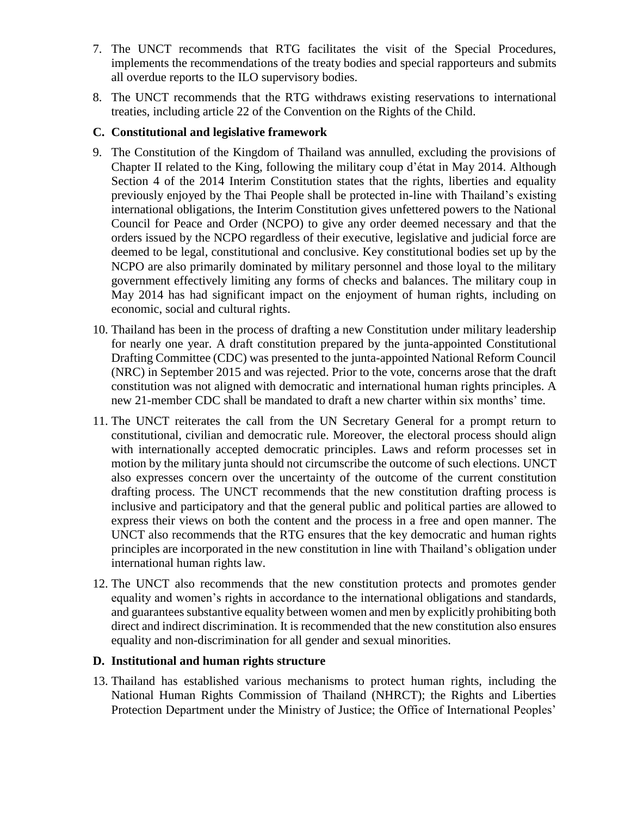- 7. The UNCT recommends that RTG facilitates the visit of the Special Procedures, implements the recommendations of the treaty bodies and special rapporteurs and submits all overdue reports to the ILO supervisory bodies.
- 8. The UNCT recommends that the RTG withdraws existing reservations to international treaties, including article 22 of the Convention on the Rights of the Child.

## **C. Constitutional and legislative framework**

- 9. The Constitution of the Kingdom of Thailand was annulled, excluding the provisions of Chapter II related to the King, following the military coup d'état in May 2014. Although Section 4 of the 2014 Interim Constitution states that the rights, liberties and equality previously enjoyed by the Thai People shall be protected in-line with Thailand's existing international obligations, the Interim Constitution gives unfettered powers to the National Council for Peace and Order (NCPO) to give any order deemed necessary and that the orders issued by the NCPO regardless of their executive, legislative and judicial force are deemed to be legal, constitutional and conclusive. Key constitutional bodies set up by the NCPO are also primarily dominated by military personnel and those loyal to the military government effectively limiting any forms of checks and balances. The military coup in May 2014 has had significant impact on the enjoyment of human rights, including on economic, social and cultural rights.
- 10. Thailand has been in the process of drafting a new Constitution under military leadership for nearly one year. A draft constitution prepared by the junta-appointed Constitutional Drafting Committee (CDC) was presented to the junta-appointed National Reform Council (NRC) in September 2015 and was rejected. Prior to the vote, concerns arose that the draft constitution was not aligned with democratic and international human rights principles. A new 21-member CDC shall be mandated to draft a new charter within six months' time.
- 11. The UNCT reiterates the call from the UN Secretary General for a prompt return to constitutional, civilian and democratic rule. Moreover, the electoral process should align with internationally accepted democratic principles. Laws and reform processes set in motion by the military junta should not circumscribe the outcome of such elections. UNCT also expresses concern over the uncertainty of the outcome of the current constitution drafting process. The UNCT recommends that the new constitution drafting process is inclusive and participatory and that the general public and political parties are allowed to express their views on both the content and the process in a free and open manner. The UNCT also recommends that the RTG ensures that the key democratic and human rights principles are incorporated in the new constitution in line with Thailand's obligation under international human rights law.
- 12. The UNCT also recommends that the new constitution protects and promotes gender equality and women's rights in accordance to the international obligations and standards, and guarantees substantive equality between women and men by explicitly prohibiting both direct and indirect discrimination. It is recommended that the new constitution also ensures equality and non-discrimination for all gender and sexual minorities.

#### **D. Institutional and human rights structure**

13. Thailand has established various mechanisms to protect human rights, including the National Human Rights Commission of Thailand (NHRCT); the Rights and Liberties Protection Department under the Ministry of Justice; the Office of International Peoples'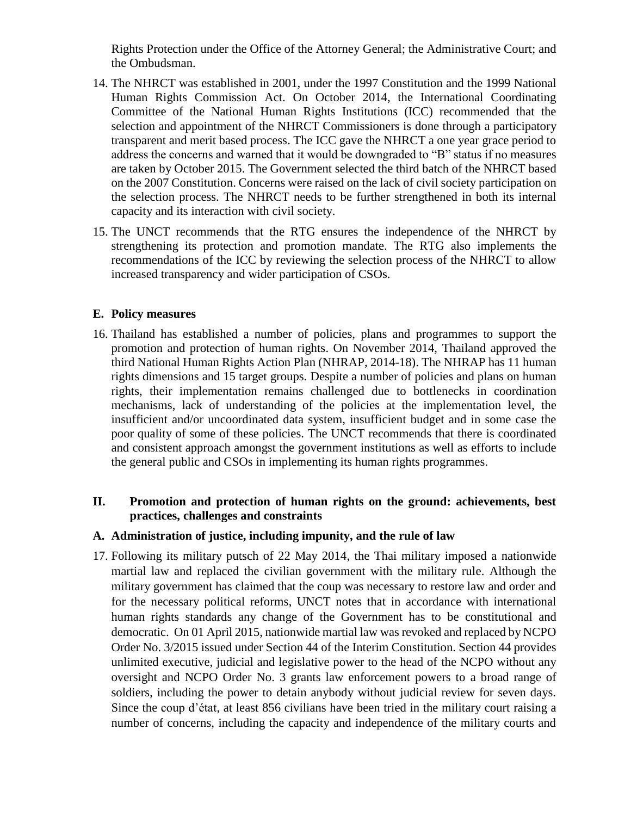Rights Protection under the Office of the Attorney General; the Administrative Court; and the Ombudsman.

- 14. The NHRCT was established in 2001, under the 1997 Constitution and the 1999 National Human Rights Commission Act. On October 2014, the International Coordinating Committee of the National Human Rights Institutions (ICC) recommended that the selection and appointment of the NHRCT Commissioners is done through a participatory transparent and merit based process. The ICC gave the NHRCT a one year grace period to address the concerns and warned that it would be downgraded to "B" status if no measures are taken by October 2015. The Government selected the third batch of the NHRCT based on the 2007 Constitution. Concerns were raised on the lack of civil society participation on the selection process. The NHRCT needs to be further strengthened in both its internal capacity and its interaction with civil society.
- 15. The UNCT recommends that the RTG ensures the independence of the NHRCT by strengthening its protection and promotion mandate. The RTG also implements the recommendations of the ICC by reviewing the selection process of the NHRCT to allow increased transparency and wider participation of CSOs.

#### **E. Policy measures**

16. Thailand has established a number of policies, plans and programmes to support the promotion and protection of human rights. On November 2014, Thailand approved the third National Human Rights Action Plan (NHRAP, 2014-18). The NHRAP has 11 human rights dimensions and 15 target groups. Despite a number of policies and plans on human rights, their implementation remains challenged due to bottlenecks in coordination mechanisms, lack of understanding of the policies at the implementation level, the insufficient and/or uncoordinated data system, insufficient budget and in some case the poor quality of some of these policies. The UNCT recommends that there is coordinated and consistent approach amongst the government institutions as well as efforts to include the general public and CSOs in implementing its human rights programmes.

### **II. Promotion and protection of human rights on the ground: achievements, best practices, challenges and constraints**

#### **A. Administration of justice, including impunity, and the rule of law**

17. Following its military putsch of 22 May 2014, the Thai military imposed a nationwide martial law and replaced the civilian government with the military rule. Although the military government has claimed that the coup was necessary to restore law and order and for the necessary political reforms, UNCT notes that in accordance with international human rights standards any change of the Government has to be constitutional and democratic. On 01 April 2015, nationwide martial law was revoked and replaced by NCPO Order No. 3/2015 issued under Section 44 of the Interim Constitution. Section 44 provides unlimited executive, judicial and legislative power to the head of the NCPO without any oversight and NCPO Order No. 3 grants law enforcement powers to a broad range of soldiers, including the power to detain anybody without judicial review for seven days. Since the coup d'état, at least 856 civilians have been tried in the military court raising a number of concerns, including the capacity and independence of the military courts and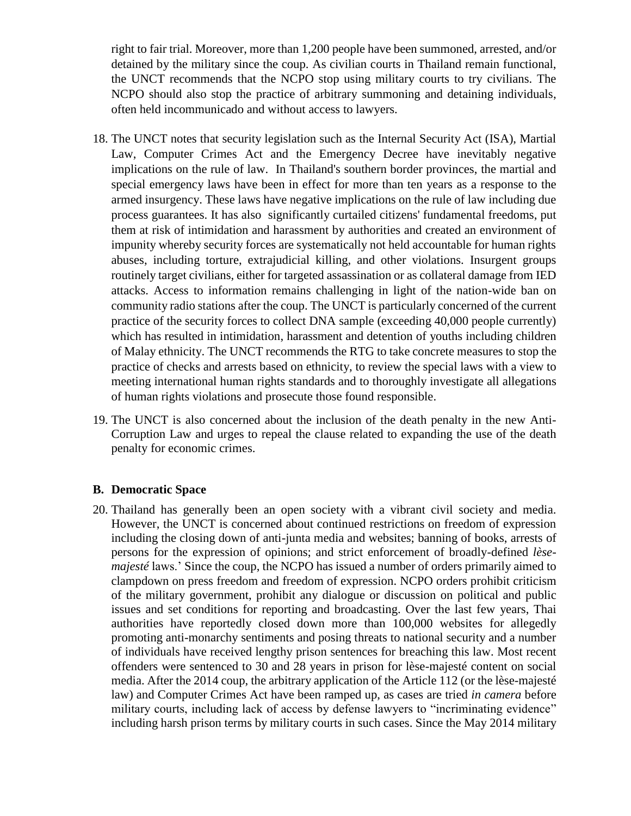right to fair trial. Moreover, more than 1,200 people have been summoned, arrested, and/or detained by the military since the coup. As civilian courts in Thailand remain functional, the UNCT recommends that the NCPO stop using military courts to try civilians. The NCPO should also stop the practice of arbitrary summoning and detaining individuals, often held incommunicado and without access to lawyers.

- 18. The UNCT notes that security legislation such as the Internal Security Act (ISA), Martial Law, Computer Crimes Act and the Emergency Decree have inevitably negative implications on the rule of law. In Thailand's southern border provinces, the martial and special emergency laws have been in effect for more than ten years as a response to the armed insurgency. These laws have negative implications on the rule of law including due process guarantees. It has also significantly curtailed citizens' fundamental freedoms, put them at risk of intimidation and harassment by authorities and created an environment of impunity whereby security forces are systematically not held accountable for human rights abuses, including torture, extrajudicial killing, and other violations. Insurgent groups routinely target civilians, either for targeted assassination or as collateral damage from IED attacks. Access to information remains challenging in light of the nation-wide ban on community radio stations after the coup. The UNCT is particularly concerned of the current practice of the security forces to collect DNA sample (exceeding 40,000 people currently) which has resulted in intimidation, harassment and detention of youths including children of Malay ethnicity. The UNCT recommends the RTG to take concrete measures to stop the practice of checks and arrests based on ethnicity, to review the special laws with a view to meeting international human rights standards and to thoroughly investigate all allegations of human rights violations and prosecute those found responsible.
- 19. The UNCT is also concerned about the inclusion of the death penalty in the new Anti-Corruption Law and urges to repeal the clause related to expanding the use of the death penalty for economic crimes.

#### **B. Democratic Space**

20. Thailand has generally been an open society with a vibrant civil society and media. However, the UNCT is concerned about continued restrictions on freedom of expression including the closing down of anti-junta media and websites; banning of books, arrests of persons for the expression of opinions; and strict enforcement of broadly-defined *lèsemajesté* laws.' Since the coup, the NCPO has issued a number of orders primarily aimed to clampdown on press freedom and freedom of expression. NCPO orders prohibit criticism of the military government, prohibit any dialogue or discussion on political and public issues and set conditions for reporting and broadcasting. Over the last few years, Thai authorities have reportedly closed down more than 100,000 websites for allegedly promoting anti-monarchy sentiments and posing threats to national security and a number of individuals have received lengthy prison sentences for breaching this law. Most recent offenders were sentenced to 30 and 28 years in prison for lèse-majesté content on social media. After the 2014 coup, the arbitrary application of the Article 112 (or the lèse-majesté law) and Computer Crimes Act have been ramped up, as cases are tried *in camera* before military courts, including lack of access by defense lawyers to "incriminating evidence" including harsh prison terms by military courts in such cases. Since the May 2014 military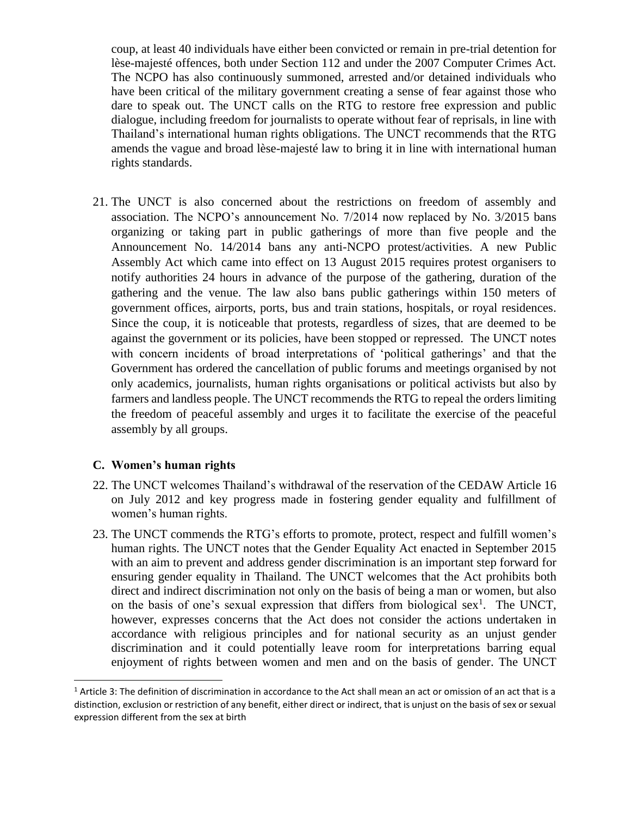coup, at least 40 individuals have either been convicted or remain in pre-trial detention for lèse-majesté offences, both under Section 112 and under the 2007 Computer Crimes Act. The NCPO has also continuously summoned, arrested and/or detained individuals who have been critical of the military government creating a sense of fear against those who dare to speak out. The UNCT calls on the RTG to restore free expression and public dialogue, including freedom for journalists to operate without fear of reprisals, in line with Thailand's international human rights obligations. The UNCT recommends that the RTG amends the vague and broad lèse-majesté law to bring it in line with international human rights standards.

21. The UNCT is also concerned about the restrictions on freedom of assembly and association. The NCPO's announcement No. 7/2014 now replaced by No. 3/2015 bans organizing or taking part in public gatherings of more than five people and the Announcement No. 14/2014 bans any anti-NCPO protest/activities. A new Public Assembly Act which came into effect on 13 August 2015 requires protest organisers to notify authorities 24 hours in advance of the purpose of the gathering, duration of the gathering and the venue. The law also bans public gatherings within 150 meters of government offices, airports, ports, bus and train stations, hospitals, or royal residences. Since the coup, it is noticeable that protests, regardless of sizes, that are deemed to be against the government or its policies, have been stopped or repressed. The UNCT notes with concern incidents of broad interpretations of 'political gatherings' and that the Government has ordered the cancellation of public forums and meetings organised by not only academics, journalists, human rights organisations or political activists but also by farmers and landless people. The UNCT recommends the RTG to repeal the orders limiting the freedom of peaceful assembly and urges it to facilitate the exercise of the peaceful assembly by all groups.

## **C. Women's human rights**

 $\overline{a}$ 

- 22. The UNCT welcomes Thailand's withdrawal of the reservation of the CEDAW Article 16 on July 2012 and key progress made in fostering gender equality and fulfillment of women's human rights.
- 23. The UNCT commends the RTG's efforts to promote, protect, respect and fulfill women's human rights. The UNCT notes that the Gender Equality Act enacted in September 2015 with an aim to prevent and address gender discrimination is an important step forward for ensuring gender equality in Thailand. The UNCT welcomes that the Act prohibits both direct and indirect discrimination not only on the basis of being a man or women, but also on the basis of one's sexual expression that differs from biological sex<sup>1</sup>. The UNCT, however, expresses concerns that the Act does not consider the actions undertaken in accordance with religious principles and for national security as an unjust gender discrimination and it could potentially leave room for interpretations barring equal enjoyment of rights between women and men and on the basis of gender. The UNCT

<sup>&</sup>lt;sup>1</sup> Article 3: The definition of discrimination in accordance to the Act shall mean an act or omission of an act that is a distinction, exclusion or restriction of any benefit, either direct or indirect, that is unjust on the basis of sex or sexual expression different from the sex at birth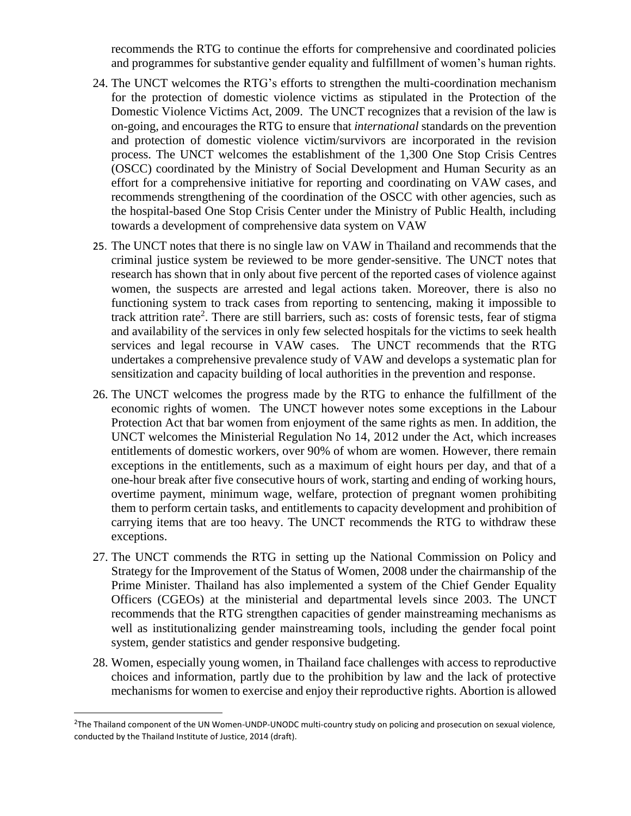recommends the RTG to continue the efforts for comprehensive and coordinated policies and programmes for substantive gender equality and fulfillment of women's human rights.

- 24. The UNCT welcomes the RTG's efforts to strengthen the multi-coordination mechanism for the protection of domestic violence victims as stipulated in the Protection of the Domestic Violence Victims Act, 2009. The UNCT recognizes that a revision of the law is on-going, and encourages the RTG to ensure that *international* standards on the prevention and protection of domestic violence victim/survivors are incorporated in the revision process. The UNCT welcomes the establishment of the 1,300 One Stop Crisis Centres (OSCC) coordinated by the Ministry of Social Development and Human Security as an effort for a comprehensive initiative for reporting and coordinating on VAW cases, and recommends strengthening of the coordination of the OSCC with other agencies, such as the hospital-based One Stop Crisis Center under the Ministry of Public Health, including towards a development of comprehensive data system on VAW
- 25. The UNCT notes that there is no single law on VAW in Thailand and recommends that the criminal justice system be reviewed to be more gender-sensitive. The UNCT notes that research has shown that in only about five percent of the reported cases of violence against women, the suspects are arrested and legal actions taken. Moreover, there is also no functioning system to track cases from reporting to sentencing, making it impossible to track attrition rate<sup>2</sup>. There are still barriers, such as: costs of forensic tests, fear of stigma and availability of the services in only few selected hospitals for the victims to seek health services and legal recourse in VAW cases. The UNCT recommends that the RTG undertakes a comprehensive prevalence study of VAW and develops a systematic plan for sensitization and capacity building of local authorities in the prevention and response.
- 26. The UNCT welcomes the progress made by the RTG to enhance the fulfillment of the economic rights of women. The UNCT however notes some exceptions in the Labour Protection Act that bar women from enjoyment of the same rights as men. In addition, the UNCT welcomes the Ministerial Regulation No 14, 2012 under the Act, which increases entitlements of domestic workers, over 90% of whom are women. However, there remain exceptions in the entitlements, such as a maximum of eight hours per day, and that of a one-hour break after five consecutive hours of work, starting and ending of working hours, overtime payment, minimum wage, welfare, protection of pregnant women prohibiting them to perform certain tasks, and entitlements to capacity development and prohibition of carrying items that are too heavy. The UNCT recommends the RTG to withdraw these exceptions.
- 27. The UNCT commends the RTG in setting up the National Commission on Policy and Strategy for the Improvement of the Status of Women, 2008 under the chairmanship of the Prime Minister. Thailand has also implemented a system of the Chief Gender Equality Officers (CGEOs) at the ministerial and departmental levels since 2003. The UNCT recommends that the RTG strengthen capacities of gender mainstreaming mechanisms as well as institutionalizing gender mainstreaming tools, including the gender focal point system, gender statistics and gender responsive budgeting.
- 28. Women, especially young women, in Thailand face challenges with access to reproductive choices and information, partly due to the prohibition by law and the lack of protective mechanisms for women to exercise and enjoy their reproductive rights. Abortion is allowed

 $\overline{a}$ 

<sup>&</sup>lt;sup>2</sup>The Thailand component of the UN Women-UNDP-UNODC multi-country study on policing and prosecution on sexual violence, conducted by the Thailand Institute of Justice, 2014 (draft).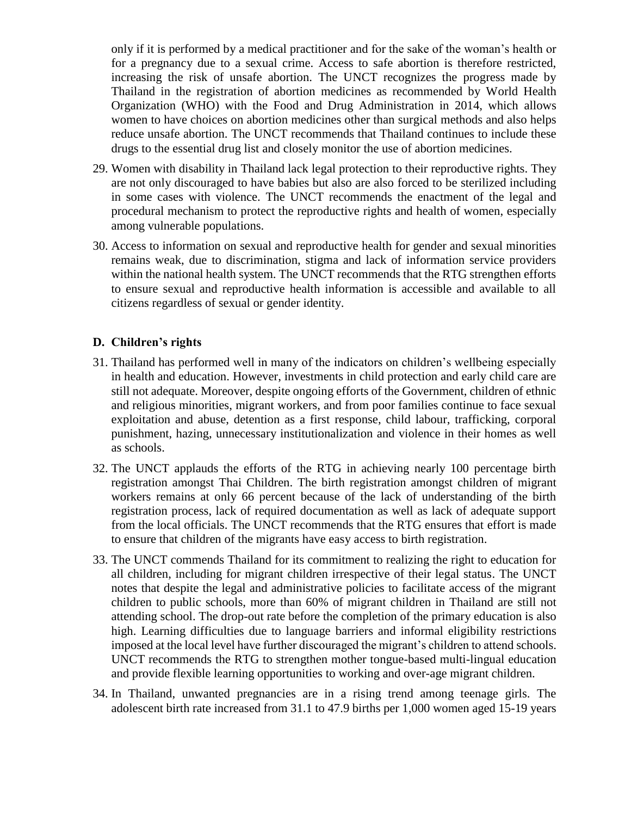only if it is performed by a medical practitioner and for the sake of the woman's health or for a pregnancy due to a sexual crime. Access to safe abortion is therefore restricted, increasing the risk of unsafe abortion. The UNCT recognizes the progress made by Thailand in the registration of abortion medicines as recommended by World Health Organization (WHO) with the Food and Drug Administration in 2014, which allows women to have choices on abortion medicines other than surgical methods and also helps reduce unsafe abortion. The UNCT recommends that Thailand continues to include these drugs to the essential drug list and closely monitor the use of abortion medicines.

- 29. Women with disability in Thailand lack legal protection to their reproductive rights. They are not only discouraged to have babies but also are also forced to be sterilized including in some cases with violence. The UNCT recommends the enactment of the legal and procedural mechanism to protect the reproductive rights and health of women, especially among vulnerable populations.
- 30. Access to information on sexual and reproductive health for gender and sexual minorities remains weak, due to discrimination, stigma and lack of information service providers within the national health system. The UNCT recommends that the RTG strengthen efforts to ensure sexual and reproductive health information is accessible and available to all citizens regardless of sexual or gender identity.

## **D. Children's rights**

- 31. Thailand has performed well in many of the indicators on children's wellbeing especially in health and education. However, investments in child protection and early child care are still not adequate. Moreover, despite ongoing efforts of the Government, children of ethnic and religious minorities, migrant workers, and from poor families continue to face sexual exploitation and abuse, detention as a first response, child labour, trafficking, corporal punishment, hazing, unnecessary institutionalization and violence in their homes as well as schools.
- 32. The UNCT applauds the efforts of the RTG in achieving nearly 100 percentage birth registration amongst Thai Children. The birth registration amongst children of migrant workers remains at only 66 percent because of the lack of understanding of the birth registration process, lack of required documentation as well as lack of adequate support from the local officials. The UNCT recommends that the RTG ensures that effort is made to ensure that children of the migrants have easy access to birth registration.
- 33. The UNCT commends Thailand for its commitment to realizing the right to education for all children, including for migrant children irrespective of their legal status. The UNCT notes that despite the legal and administrative policies to facilitate access of the migrant children to public schools, more than 60% of migrant children in Thailand are still not attending school. The drop-out rate before the completion of the primary education is also high. Learning difficulties due to language barriers and informal eligibility restrictions imposed at the local level have further discouraged the migrant's children to attend schools. UNCT recommends the RTG to strengthen mother tongue-based multi-lingual education and provide flexible learning opportunities to working and over-age migrant children.
- 34. In Thailand, unwanted pregnancies are in a rising trend among teenage girls. The adolescent birth rate increased from 31.1 to 47.9 births per 1,000 women aged 15-19 years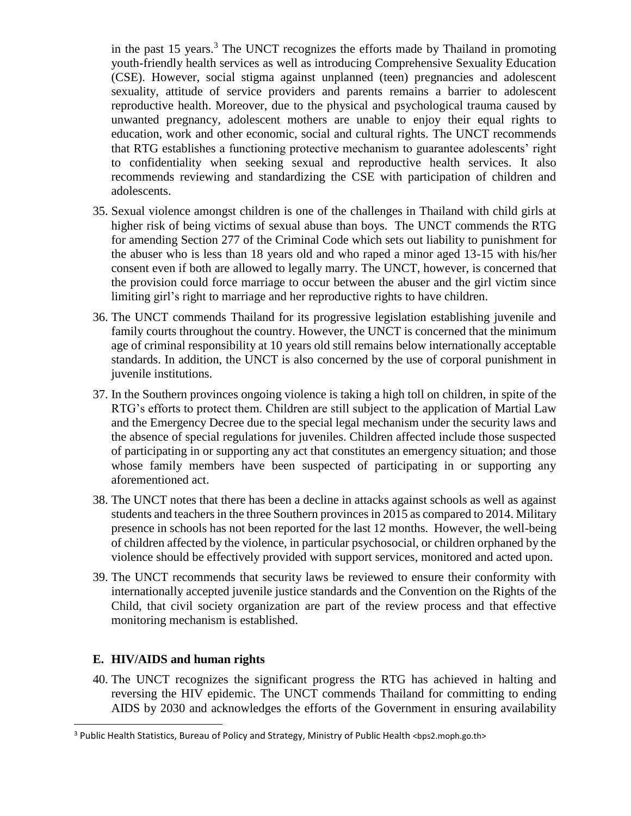in the past 15 years.<sup>3</sup> The UNCT recognizes the efforts made by Thailand in promoting youth-friendly health services as well as introducing Comprehensive Sexuality Education (CSE). However, social stigma against unplanned (teen) pregnancies and adolescent sexuality, attitude of service providers and parents remains a barrier to adolescent reproductive health. Moreover, due to the physical and psychological trauma caused by unwanted pregnancy, adolescent mothers are unable to enjoy their equal rights to education, work and other economic, social and cultural rights. The UNCT recommends that RTG establishes a functioning protective mechanism to guarantee adolescents' right to confidentiality when seeking sexual and reproductive health services. It also recommends reviewing and standardizing the CSE with participation of children and adolescents.

- 35. Sexual violence amongst children is one of the challenges in Thailand with child girls at higher risk of being victims of sexual abuse than boys. The UNCT commends the RTG for amending Section 277 of the Criminal Code which sets out liability to punishment for the abuser who is less than 18 years old and who raped a minor aged 13-15 with his/her consent even if both are allowed to legally marry. The UNCT, however, is concerned that the provision could force marriage to occur between the abuser and the girl victim since limiting girl's right to marriage and her reproductive rights to have children.
- 36. The UNCT commends Thailand for its progressive legislation establishing juvenile and family courts throughout the country. However, the UNCT is concerned that the minimum age of criminal responsibility at 10 years old still remains below internationally acceptable standards. In addition, the UNCT is also concerned by the use of corporal punishment in juvenile institutions.
- 37. In the Southern provinces ongoing violence is taking a high toll on children, in spite of the RTG's efforts to protect them. Children are still subject to the application of Martial Law and the Emergency Decree due to the special legal mechanism under the security laws and the absence of special regulations for juveniles. Children affected include those suspected of participating in or supporting any act that constitutes an emergency situation; and those whose family members have been suspected of participating in or supporting any aforementioned act.
- 38. The UNCT notes that there has been a decline in attacks against schools as well as against students and teachers in the three Southern provinces in 2015 as compared to 2014. Military presence in schools has not been reported for the last 12 months. However, the well-being of children affected by the violence, in particular psychosocial, or children orphaned by the violence should be effectively provided with support services, monitored and acted upon.
- 39. The UNCT recommends that security laws be reviewed to ensure their conformity with internationally accepted juvenile justice standards and the Convention on the Rights of the Child, that civil society organization are part of the review process and that effective monitoring mechanism is established.

## **E. HIV/AIDS and human rights**

 $\overline{a}$ 

40. The UNCT recognizes the significant progress the RTG has achieved in halting and reversing the HIV epidemic. The UNCT commends Thailand for committing to ending AIDS by 2030 and acknowledges the efforts of the Government in ensuring availability

<sup>&</sup>lt;sup>3</sup> Public Health Statistics, Bureau of Policy and Strategy, Ministry of Public Health <br/>bps2.moph.go.th>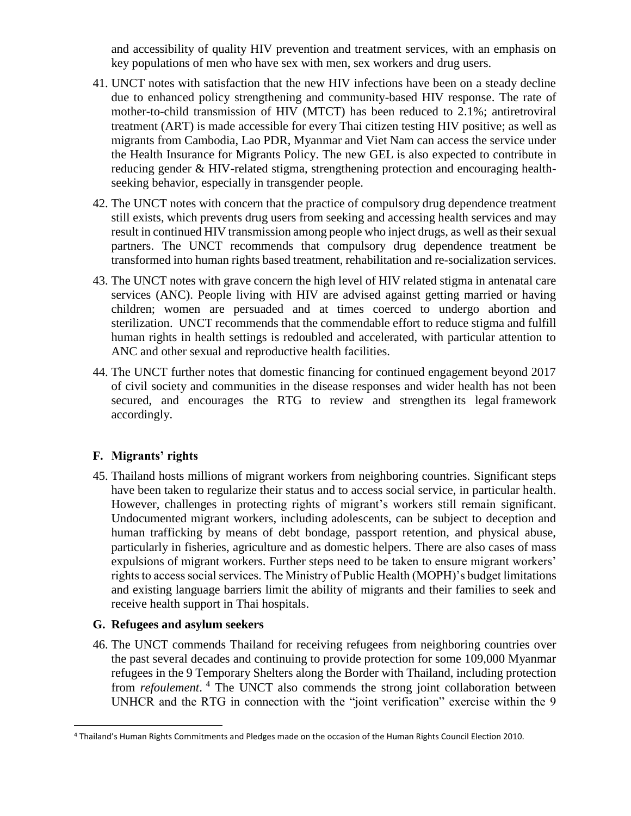and accessibility of quality HIV prevention and treatment services, with an emphasis on key populations of men who have sex with men, sex workers and drug users.

- 41. UNCT notes with satisfaction that the new HIV infections have been on a steady decline due to enhanced policy strengthening and community-based HIV response. The rate of mother-to-child transmission of HIV (MTCT) has been reduced to 2.1%; antiretroviral treatment (ART) is made accessible for every Thai citizen testing HIV positive; as well as migrants from Cambodia, Lao PDR, Myanmar and Viet Nam can access the service under the Health Insurance for Migrants Policy. The new GEL is also expected to contribute in reducing gender & HIV-related stigma, strengthening protection and encouraging healthseeking behavior, especially in transgender people.
- 42. The UNCT notes with concern that the practice of compulsory drug dependence treatment still exists, which prevents drug users from seeking and accessing health services and may result in continued HIV transmission among people who inject drugs, as well as their sexual partners. The UNCT recommends that compulsory drug dependence treatment be transformed into human rights based treatment, rehabilitation and re-socialization services.
- 43. The UNCT notes with grave concern the high level of HIV related stigma in antenatal care services (ANC). People living with HIV are advised against getting married or having children; women are persuaded and at times coerced to undergo abortion and sterilization. UNCT recommends that the commendable effort to reduce stigma and fulfill human rights in health settings is redoubled and accelerated, with particular attention to ANC and other sexual and reproductive health facilities.
- 44. The UNCT further notes that domestic financing for continued engagement beyond 2017 of civil society and communities in the disease responses and wider health has not been secured, and encourages the RTG to review and strengthen its legal framework accordingly.

## **F. Migrants' rights**

45. Thailand hosts millions of migrant workers from neighboring countries. Significant steps have been taken to regularize their status and to access social service, in particular health. However, challenges in protecting rights of migrant's workers still remain significant. Undocumented migrant workers, including adolescents, can be subject to deception and human trafficking by means of debt bondage, passport retention, and physical abuse, particularly in fisheries, agriculture and as domestic helpers. There are also cases of mass expulsions of migrant workers. Further steps need to be taken to ensure migrant workers' rights to access social services. The Ministry of Public Health (MOPH)'s budget limitations and existing language barriers limit the ability of migrants and their families to seek and receive health support in Thai hospitals.

## **G. Refugees and asylum seekers**

 $\overline{a}$ 

46. The UNCT commends Thailand for receiving refugees from neighboring countries over the past several decades and continuing to provide protection for some 109,000 Myanmar refugees in the 9 Temporary Shelters along the Border with Thailand, including protection from *refoulement*. <sup>4</sup> The UNCT also commends the strong joint collaboration between UNHCR and the RTG in connection with the "joint verification" exercise within the 9

<sup>4</sup> Thailand's Human Rights Commitments and Pledges made on the occasion of the Human Rights Council Election 2010.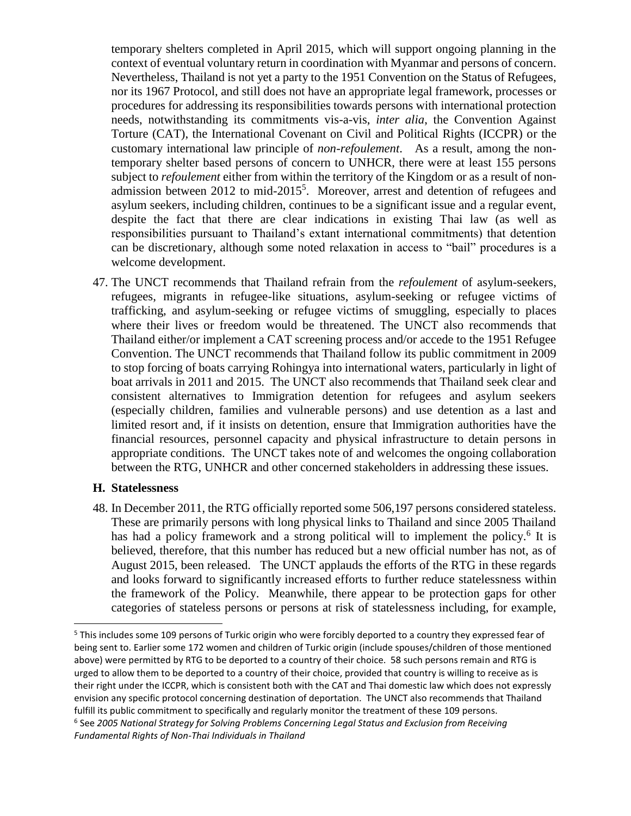temporary shelters completed in April 2015, which will support ongoing planning in the context of eventual voluntary return in coordination with Myanmar and persons of concern. Nevertheless, Thailand is not yet a party to the 1951 Convention on the Status of Refugees, nor its 1967 Protocol, and still does not have an appropriate legal framework, processes or procedures for addressing its responsibilities towards persons with international protection needs, notwithstanding its commitments vis-a-vis, *inter alia*, the Convention Against Torture (CAT), the International Covenant on Civil and Political Rights (ICCPR) or the customary international law principle of *non-refoulement*. As a result, among the nontemporary shelter based persons of concern to UNHCR, there were at least 155 persons subject to *refoulement* either from within the territory of the Kingdom or as a result of nonadmission between  $2012$  to mid- $2015<sup>5</sup>$ . Moreover, arrest and detention of refugees and asylum seekers, including children, continues to be a significant issue and a regular event, despite the fact that there are clear indications in existing Thai law (as well as responsibilities pursuant to Thailand's extant international commitments) that detention can be discretionary, although some noted relaxation in access to "bail" procedures is a welcome development.

47. The UNCT recommends that Thailand refrain from the *refoulement* of asylum-seekers, refugees, migrants in refugee-like situations, asylum-seeking or refugee victims of trafficking, and asylum-seeking or refugee victims of smuggling, especially to places where their lives or freedom would be threatened. The UNCT also recommends that Thailand either/or implement a CAT screening process and/or accede to the 1951 Refugee Convention. The UNCT recommends that Thailand follow its public commitment in 2009 to stop forcing of boats carrying Rohingya into international waters, particularly in light of boat arrivals in 2011 and 2015. The UNCT also recommends that Thailand seek clear and consistent alternatives to Immigration detention for refugees and asylum seekers (especially children, families and vulnerable persons) and use detention as a last and limited resort and, if it insists on detention, ensure that Immigration authorities have the financial resources, personnel capacity and physical infrastructure to detain persons in appropriate conditions. The UNCT takes note of and welcomes the ongoing collaboration between the RTG, UNHCR and other concerned stakeholders in addressing these issues.

#### **H. Statelessness**

 $\overline{a}$ 

48. In December 2011, the RTG officially reported some 506,197 persons considered stateless. These are primarily persons with long physical links to Thailand and since 2005 Thailand has had a policy framework and a strong political will to implement the policy.<sup>6</sup> It is believed, therefore, that this number has reduced but a new official number has not, as of August 2015, been released. The UNCT applauds the efforts of the RTG in these regards and looks forward to significantly increased efforts to further reduce statelessness within the framework of the Policy. Meanwhile, there appear to be protection gaps for other categories of stateless persons or persons at risk of statelessness including, for example,

<sup>&</sup>lt;sup>5</sup> This includes some 109 persons of Turkic origin who were forcibly deported to a country they expressed fear of being sent to. Earlier some 172 women and children of Turkic origin (include spouses/children of those mentioned above) were permitted by RTG to be deported to a country of their choice. 58 such persons remain and RTG is urged to allow them to be deported to a country of their choice, provided that country is willing to receive as is their right under the ICCPR, which is consistent both with the CAT and Thai domestic law which does not expressly envision any specific protocol concerning destination of deportation. The UNCT also recommends that Thailand fulfill its public commitment to specifically and regularly monitor the treatment of these 109 persons.  $^6$  See 2005 National Strategy for Solving Problems Concerning Legal Status and Exclusion from Receiving *Fundamental Rights of Non-Thai Individuals in Thailand*